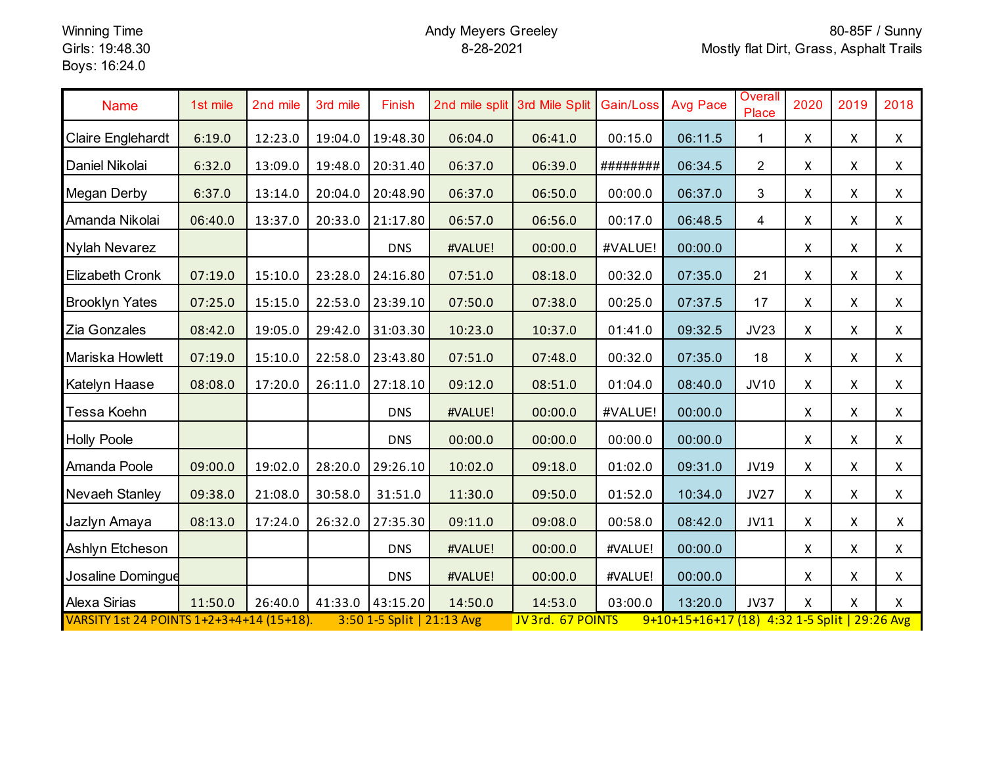## Andy Meyers Greeley 8-28-2021

| <b>Name</b>                                                                                                                                   | 1st mile | 2nd mile | 3rd mile | Finish     |         | 2nd mile split 3rd Mile Split | Gain/Loss | <b>Avg Pace</b> | Overall<br>Place | 2020         | 2019         | 2018               |
|-----------------------------------------------------------------------------------------------------------------------------------------------|----------|----------|----------|------------|---------|-------------------------------|-----------|-----------------|------------------|--------------|--------------|--------------------|
| Claire Englehardt                                                                                                                             | 6:19.0   | 12:23.0  | 19:04.0  | 19:48.30   | 06:04.0 | 06:41.0                       | 00:15.0   | 06:11.5         | 1.               | $\mathsf{X}$ | $\mathsf{X}$ | $\mathsf{X}^-$     |
| Daniel Nikolai                                                                                                                                | 6:32.0   | 13:09.0  | 19:48.0  | 20:31.40   | 06:37.0 | 06:39.0                       | ########  | 06:34.5         | $\overline{2}$   | X            | X            | $\mathsf{X}$       |
| Megan Derby                                                                                                                                   | 6:37.0   | 13:14.0  | 20:04.0  | 20:48.90   | 06:37.0 | 06:50.0                       | 00:00.0   | 06:37.0         | 3                | X            | $\mathsf{X}$ | $\mathsf{X}^-$     |
| Amanda Nikolai                                                                                                                                | 06:40.0  | 13:37.0  | 20:33.0  | 21:17.80   | 06:57.0 | 06:56.0                       | 00:17.0   | 06:48.5         | $\overline{4}$   | X.           | $\mathsf{X}$ | $\mathsf{X}$       |
| Nylah Nevarez                                                                                                                                 |          |          |          | <b>DNS</b> | #VALUE! | 00:00.0                       | #VALUE!   | 00:00.0         |                  | $\mathsf{X}$ | $\mathsf{X}$ | $\mathsf{X}$       |
| <b>Elizabeth Cronk</b>                                                                                                                        | 07:19.0  | 15:10.0  | 23:28.0  | 24:16.80   | 07:51.0 | 08:18.0                       | 00:32.0   | 07:35.0         | 21               | X            | $\mathsf{X}$ | $\pmb{\mathsf{X}}$ |
| <b>Brooklyn Yates</b>                                                                                                                         | 07:25.0  | 15:15.0  | 22:53.0  | 23:39.10   | 07:50.0 | 07:38.0                       | 00:25.0   | 07:37.5         | 17               | $\mathsf{X}$ | X            | $\mathsf{X}^-$     |
| Zia Gonzales                                                                                                                                  | 08:42.0  | 19:05.0  | 29:42.0  | 31:03.30   | 10:23.0 | 10:37.0                       | 01:41.0   | 09:32.5         | JV23             | $\mathsf{X}$ | $\mathsf{X}$ | $\mathsf{X}$       |
| Mariska Howlett                                                                                                                               | 07:19.0  | 15:10.0  | 22:58.0  | 23:43.80   | 07:51.0 | 07:48.0                       | 00:32.0   | 07:35.0         | 18               | $\mathsf{X}$ | X            | $\mathsf{X}^-$     |
| Katelyn Haase                                                                                                                                 | 08:08.0  | 17:20.0  | 26:11.0  | 27:18.10   | 09:12.0 | 08:51.0                       | 01:04.0   | 08:40.0         | JV10             | X            | X            | $\mathsf{X}$       |
| Tessa Koehn                                                                                                                                   |          |          |          | <b>DNS</b> | #VALUE! | 00:00.0                       | #VALUE!   | 00:00.0         |                  | X            | X            | $\mathsf{X}$       |
| <b>Holly Poole</b>                                                                                                                            |          |          |          | <b>DNS</b> | 00:00.0 | 00:00.0                       | 00:00.0   | 00:00.0         |                  | X            | X            | $\mathsf{X}$       |
| Amanda Poole                                                                                                                                  | 09:00.0  | 19:02.0  | 28:20.0  | 29:26.10   | 10:02.0 | 09:18.0                       | 01:02.0   | 09:31.0         | JV19             | $\mathsf{X}$ | $\mathsf{X}$ | $\mathsf{X}$       |
| Nevaeh Stanley                                                                                                                                | 09:38.0  | 21:08.0  | 30:58.0  | 31:51.0    | 11:30.0 | 09:50.0                       | 01:52.0   | 10:34.0         | <b>JV27</b>      | X            | $\mathsf{X}$ | $\mathsf{X}$       |
| Jazlyn Amaya                                                                                                                                  | 08:13.0  | 17:24.0  | 26:32.0  | 27:35.30   | 09:11.0 | 09:08.0                       | 00:58.0   | 08:42.0         | <b>JV11</b>      | X            | X            | $\mathsf{X}$       |
| Ashlyn Etcheson                                                                                                                               |          |          |          | <b>DNS</b> | #VALUE! | 00:00.0                       | #VALUE!   | 00:00.0         |                  | X            | X            | $\mathsf{X}$       |
| Josaline Domingue                                                                                                                             |          |          |          | <b>DNS</b> | #VALUE! | 00:00.0                       | #VALUE!   | 00:00.0         |                  | X            | X            | X                  |
| Alexa Sirias                                                                                                                                  | 11:50.0  | 26:40.0  | 41:33.0  | 43:15.20   | 14:50.0 | 14:53.0                       | 03:00.0   | 13:20.0         | <b>JV37</b>      | X            | X            | X                  |
| VARSITY 1st 24 POINTS 1+2+3+4+14 (15+18).<br>9+10+15+16+17 (18) 4:32 1-5 Split   29:26 Avg<br>3:50 1-5 Split   21:13 Avg<br>JV 3rd. 67 POINTS |          |          |          |            |         |                               |           |                 |                  |              |              |                    |